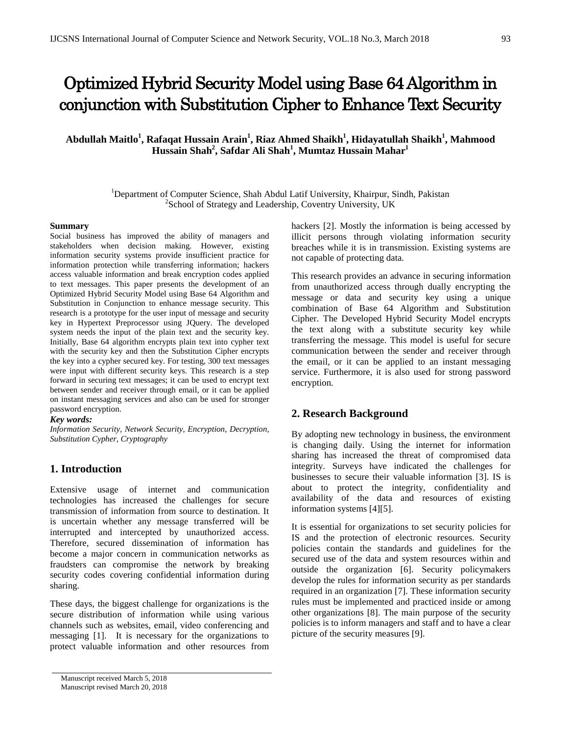# Optimized Hybrid Security Model using Base 64 Algorithm in conjunction with Substitution Cipher to Enhance Text Security

 $\Lambda$ bdullah Maitlo $^1$ , Rafaqat Hussain Arain $^1$ , Riaz Ahmed Shaikh $^1$ , Hidayatullah Shaikh $^1$ , Mahmood **Hussain Shah2 , Safdar Ali Shah1 , Mumtaz Hussain Mahar1**

> <sup>1</sup>Department of Computer Science, Shah Abdul Latif University, Khairpur, Sindh, Pakistan  $\frac{2}{5}$ School of Strategy and Logdarship Coventry University, UK  ${}^{2}$ School of Strategy and Leadership, Coventry University, UK

#### **Summary**

Social business has improved the ability of managers and stakeholders when decision making. However, existing information security systems provide insufficient practice for information protection while transferring information; hackers access valuable information and break encryption codes applied to text messages. This paper presents the development of an Optimized Hybrid Security Model using Base 64 Algorithm and Substitution in Conjunction to enhance message security. This research is a prototype for the user input of message and security key in Hypertext Preprocessor using JQuery. The developed system needs the input of the plain text and the security key. Initially, Base 64 algorithm encrypts plain text into cypher text with the security key and then the Substitution Cipher encrypts the key into a cypher secured key. For testing, 300 text messages were input with different security keys. This research is a step forward in securing text messages; it can be used to encrypt text between sender and receiver through email, or it can be applied on instant messaging services and also can be used for stronger password encryption.

#### *Key words:*

*Information Security, Network Security, Encryption, Decryption, Substitution Cypher, Cryptography*

## **1. Introduction**

Extensive usage of internet and communication technologies has increased the challenges for secure transmission of information from source to destination. It is uncertain whether any message transferred will be interrupted and intercepted by unauthorized access. Therefore, secured dissemination of information has become a major concern in communication networks as fraudsters can compromise the network by breaking security codes covering confidential information during sharing.

These days, the biggest challenge for organizations is the secure distribution of information while using various channels such as websites, email, video conferencing and messaging [1]. It is necessary for the organizations to protect valuable information and other resources from hackers [2]. Mostly the information is being accessed by illicit persons through violating information security breaches while it is in transmission. Existing systems are not capable of protecting data.

This research provides an advance in securing information from unauthorized access through dually encrypting the message or data and security key using a unique combination of Base 64 Algorithm and Substitution Cipher. The Developed Hybrid Security Model encrypts the text along with a substitute security key while transferring the message. This model is useful for secure communication between the sender and receiver through the email, or it can be applied to an instant messaging service. Furthermore, it is also used for strong password encryption.

# **2. Research Background**

By adopting new technology in business, the environment is changing daily. Using the internet for information sharing has increased the threat of compromised data integrity. Surveys have indicated the challenges for businesses to secure their valuable information [3]. IS is about to protect the integrity, confidentiality and availability of the data and resources of existing information systems [4][5].

It is essential for organizations to set security policies for IS and the protection of electronic resources. Security policies contain the standards and guidelines for the secured use of the data and system resources within and outside the organization [6]. Security policymakers develop the rules for information security as per standards required in an organization [7]. These information security rules must be implemented and practiced inside or among other organizations [8]. The main purpose of the security policies is to inform managers and staff and to have a clear picture of the security measures [9].

Manuscript received March 5, 2018 Manuscript revised March 20, 2018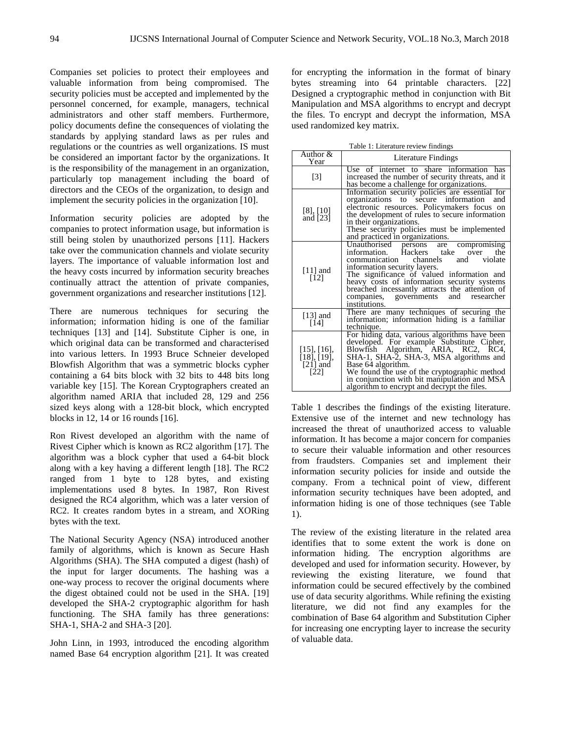Companies set policies to protect their employees and valuable information from being compromised. The security policies must be accepted and implemented by the personnel concerned, for example, managers, technical administrators and other staff members. Furthermore, policy documents define the consequences of violating the standards by applying standard laws as per rules and regulations or the countries as well organizations. IS must be considered an important factor by the organizations. It is the responsibility of the management in an organization, particularly top management including the board of directors and the CEOs of the organization, to design and implement the security policies in the organization [10].

Information security policies are adopted by the companies to protect information usage, but information is still being stolen by unauthorized persons [11]. Hackers take over the communication channels and violate security layers. The importance of valuable information lost and the heavy costs incurred by information security breaches continually attract the attention of private companies, government organizations and researcher institutions [12].

There are numerous techniques for securing the information; information hiding is one of the familiar techniques [13] and [14]. Substitute Cipher is one, in which original data can be transformed and characterised into various letters. In 1993 Bruce Schneier developed Blowfish Algorithm that was a symmetric blocks cypher containing a 64 bits block with 32 bits to 448 bits long variable key [15]. The Korean Cryptographers created an algorithm named ARIA that included 28, 129 and 256 sized keys along with a 128-bit block, which encrypted blocks in 12, 14 or 16 rounds [16].

Ron Rivest developed an algorithm with the name of Rivest Cipher which is known as RC2 algorithm [17]. The algorithm was a block cypher that used a 64-bit block along with a key having a different length [18]. The RC2 ranged from 1 byte to 128 bytes, and existing implementations used 8 bytes. In 1987, Ron Rivest designed the RC4 algorithm, which was a later version of RC2. It creates random bytes in a stream, and XORing bytes with the text.

The National Security Agency (NSA) introduced another family of algorithms, which is known as Secure Hash Algorithms (SHA). The SHA computed a digest (hash) of the input for larger documents. The hashing was a one-way process to recover the original documents where the digest obtained could not be used in the SHA. [19] developed the SHA-2 cryptographic algorithm for hash functioning. The SHA family has three generations: SHA-1, SHA-2 and SHA-3 [20].

John Linn, in 1993, introduced the encoding algorithm named Base 64 encryption algorithm [21]. It was created for encrypting the information in the format of binary bytes streaming into 64 printable characters. [22] Designed a cryptographic method in conjunction with Bit Manipulation and MSA algorithms to encrypt and decrypt the files. To encrypt and decrypt the information, MSA used randomized key matrix.

Table 1: Literature review findings

| Author $&$<br>Year                                                                     | <b>Literature Findings</b>                                                                                                                                                                                                                                                                                                                                                         |
|----------------------------------------------------------------------------------------|------------------------------------------------------------------------------------------------------------------------------------------------------------------------------------------------------------------------------------------------------------------------------------------------------------------------------------------------------------------------------------|
| $\lceil 3 \rceil$                                                                      | Use of internet to share information has<br>increased the number of security threats, and it<br>has become a challenge for organizations.                                                                                                                                                                                                                                          |
| $[8]$ , $[10]$<br>and $[23]$                                                           | Information security policies are essential for<br>organizations to secure information<br>and<br>electronic resources. Policymakers focus on<br>the development of rules to secure information<br>in their organizations.<br>These security policies must be implemented<br>and practiced in organizations.                                                                        |
| $[11]$ and<br>$\overline{1}\overline{2}$                                               | Unauthorised<br>persons<br>are compromising<br>Hackers take<br>information.<br>the<br>over<br>and violate<br>communication channels<br>information security layers.<br>The significance of valued information and<br>heavy costs of information security systems<br>breached incessantly attracts the attention of<br>companies, governments<br>and<br>researcher<br>institutions. |
| $[13]$ and<br>[14]                                                                     | There are many techniques of securing the information; information hiding is a familiar<br>technique.                                                                                                                                                                                                                                                                              |
| $[15]$ , $[16]$ ,<br>$\left[\begin{matrix} 18 \\ 21 \end{matrix}\right]$ and<br>$[22]$ | For hiding data, various algorithms have been<br>developed. For example Substitute Cipher,<br>Blowfish Algorithm, ARIA, RC2, RC4,<br>SHA-1, SHA-2, SHA-3, MSA algorithms and<br>Base 64 algorithm.<br>We found the use of the cryptographic method<br>in conjunction with bit manipulation and MSA<br>algorithm to encrypt and decrypt the files.                                  |

Table 1 describes the findings of the existing literature. Extensive use of the internet and new technology has increased the threat of unauthorized access to valuable information. It has become a major concern for companies to secure their valuable information and other resources from fraudsters. Companies set and implement their information security policies for inside and outside the company. From a technical point of view, different information security techniques have been adopted, and information hiding is one of those techniques (see Table 1).

The review of the existing literature in the related area identifies that to some extent the work is done on information hiding. The encryption algorithms are developed and used for information security. However, by reviewing the existing literature, we found that information could be secured effectively by the combined use of data security algorithms. While refining the existing literature, we did not find any examples for the combination of Base 64 algorithm and Substitution Cipher for increasing one encrypting layer to increase the security of valuable data.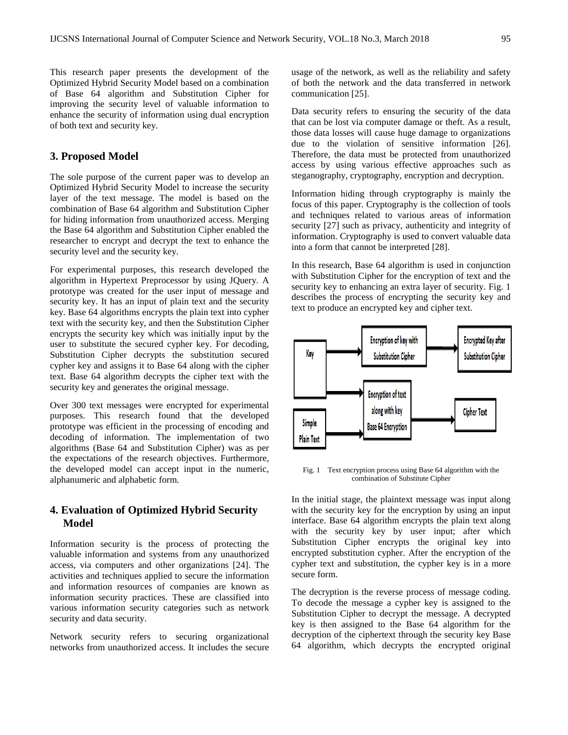This research paper presents the development of the Optimized Hybrid Security Model based on a combination of Base 64 algorithm and Substitution Cipher for improving the security level of valuable information to enhance the security of information using dual encryption of both text and security key.

### **3. Proposed Model**

The sole purpose of the current paper was to develop an Optimized Hybrid Security Model to increase the security layer of the text message. The model is based on the combination of Base 64 algorithm and Substitution Cipher for hiding information from unauthorized access. Merging the Base 64 algorithm and Substitution Cipher enabled the researcher to encrypt and decrypt the text to enhance the security level and the security key.

For experimental purposes, this research developed the algorithm in Hypertext Preprocessor by using JQuery. A prototype was created for the user input of message and security key. It has an input of plain text and the security key. Base 64 algorithms encrypts the plain text into cypher text with the security key, and then the Substitution Cipher encrypts the security key which was initially input by the user to substitute the secured cypher key. For decoding, Substitution Cipher decrypts the substitution secured cypher key and assigns it to Base 64 along with the cipher text. Base 64 algorithm decrypts the cipher text with the security key and generates the original message.

Over 300 text messages were encrypted for experimental purposes. This research found that the developed prototype was efficient in the processing of encoding and decoding of information. The implementation of two algorithms (Base 64 and Substitution Cipher) was as per the expectations of the research objectives. Furthermore, the developed model can accept input in the numeric, alphanumeric and alphabetic form.

## **4. Evaluation of Optimized Hybrid Security Model**

Information security is the process of protecting the valuable information and systems from any unauthorized access, via computers and other organizations [24]. The activities and techniques applied to secure the information and information resources of companies are known as information security practices. These are classified into various information security categories such as network security and data security.

Network security refers to securing organizational networks from unauthorized access. It includes the secure usage of the network, as well as the reliability and safety of both the network and the data transferred in network communication [25].

Data security refers to ensuring the security of the data that can be lost via computer damage or theft. As a result, those data losses will cause huge damage to organizations due to the violation of sensitive information [26]. Therefore, the data must be protected from unauthorized access by using various effective approaches such as steganography, cryptography, encryption and decryption.

Information hiding through cryptography is mainly the focus of this paper. Cryptography is the collection of tools and techniques related to various areas of information security [27] such as privacy, authenticity and integrity of information. Cryptography is used to convert valuable data into a form that cannot be interpreted [28].

In this research, Base 64 algorithm is used in conjunction with Substitution Cipher for the encryption of text and the security key to enhancing an extra layer of security. Fig. 1 describes the process of encrypting the security key and text to produce an encrypted key and cipher text.



Fig. 1 Text encryption process using Base 64 algorithm with the combination of Substitute Cipher

In the initial stage, the plaintext message was input along with the security key for the encryption by using an input interface. Base 64 algorithm encrypts the plain text along with the security key by user input; after which Substitution Cipher encrypts the original key into encrypted substitution cypher. After the encryption of the cypher text and substitution, the cypher key is in a more secure form.

The decryption is the reverse process of message coding. To decode the message a cypher key is assigned to the Substitution Cipher to decrypt the message. A decrypted key is then assigned to the Base 64 algorithm for the decryption of the ciphertext through the security key Base 64 algorithm, which decrypts the encrypted original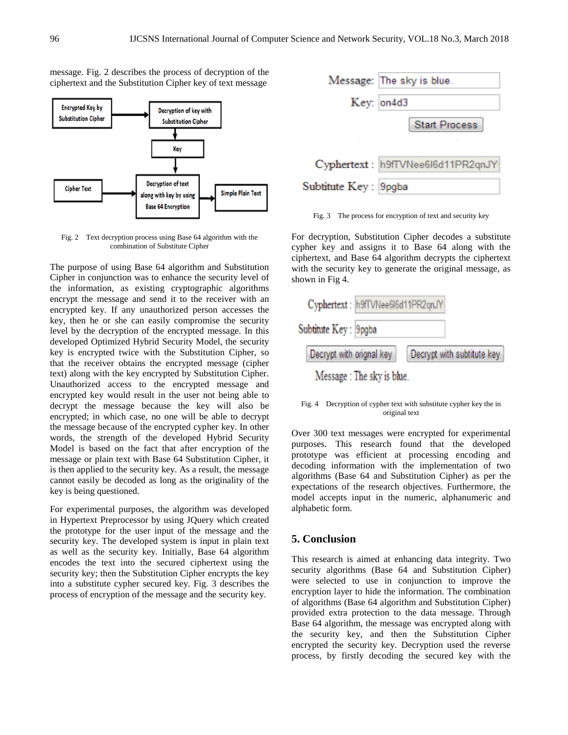message. Fig. 2 describes the process of decryption of the ciphertext and the Substitution Cipher key of text message



Fig. 2 Text decryption process using Base 64 algorithm with the combination of Substitute Cipher

The purpose of using Base 64 algorithm and Substitution Cipher in conjunction was to enhance the security level of the information, as existing cryptographic algorithms encrypt the message and send it to the receiver with an encrypted key. If any unauthorized person accesses the key, then he or she can easily compromise the security level by the decryption of the encrypted message. In this developed Optimized Hybrid Security Model, the security key is encrypted twice with the Substitution Cipher, so that the receiver obtains the encrypted message (cipher text) along with the key encrypted by Substitution Cipher. Unauthorized access to the encrypted message and encrypted key would result in the user not being able to decrypt the message because the key will also be encrypted; in which case, no one will be able to decrypt the message because of the encrypted cypher key. In other words, the strength of the developed Hybrid Security Model is based on the fact that after encryption of the message or plain text with Base 64 Substitution Cipher, it is then applied to the security key. As a result, the message cannot easily be decoded as long as the originality of the key is being questioned.

For experimental purposes, the algorithm was developed in Hypertext Preprocessor by using JQuery which created the prototype for the user input of the message and the security key. The developed system is input in plain text as well as the security key. Initially, Base 64 algorithm encodes the text into the secured ciphertext using the security key; then the Substitution Cipher encrypts the key into a substitute cypher secured key. Fig. 3 describes the process of encryption of the message and the security key.



Fig. 3 The process for encryption of text and security key

For decryption, Substitution Cipher decodes a substitute cypher key and assigns it to Base 64 along with the ciphertext, and Base 64 algorithm decrypts the ciphertext with the security key to generate the original message, as shown in Fig 4.





Over 300 text messages were encrypted for experimental purposes. This research found that the developed prototype was efficient at processing encoding and decoding information with the implementation of two algorithms (Base 64 and Substitution Cipher) as per the expectations of the research objectives. Furthermore, the model accepts input in the numeric, alphanumeric and alphabetic form.

## **5. Conclusion**

This research is aimed at enhancing data integrity. Two security algorithms (Base 64 and Substitution Cipher) were selected to use in conjunction to improve the encryption layer to hide the information. The combination of algorithms (Base 64 algorithm and Substitution Cipher) provided extra protection to the data message. Through Base 64 algorithm, the message was encrypted along with the security key, and then the Substitution Cipher encrypted the security key. Decryption used the reverse process, by firstly decoding the secured key with the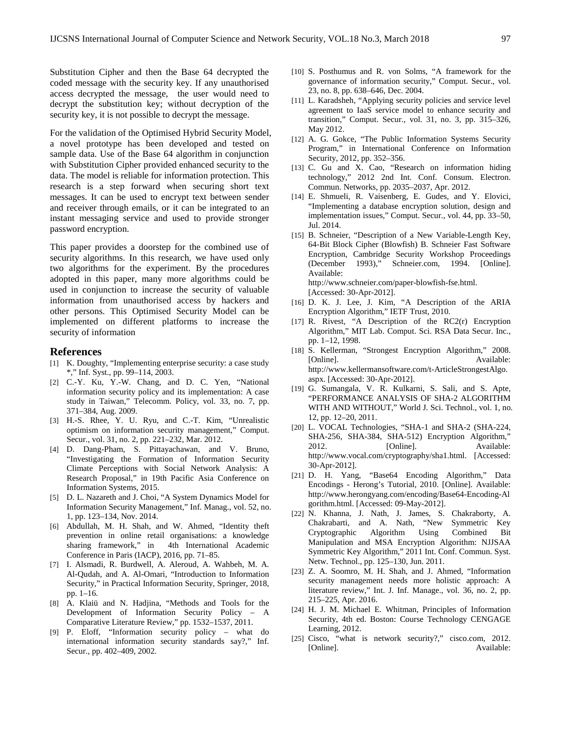Substitution Cipher and then the Base 64 decrypted the coded message with the security key. If any unauthorised access decrypted the message, the user would need to decrypt the substitution key; without decryption of the security key, it is not possible to decrypt the message.

For the validation of the Optimised Hybrid Security Model, a novel prototype has been developed and tested on sample data. Use of the Base 64 algorithm in conjunction with Substitution Cipher provided enhanced security to the data. The model is reliable for information protection. This research is a step forward when securing short text messages. It can be used to encrypt text between sender and receiver through emails, or it can be integrated to an instant messaging service and used to provide stronger password encryption.

This paper provides a doorstep for the combined use of security algorithms. In this research, we have used only two algorithms for the experiment. By the procedures adopted in this paper, many more algorithms could be used in conjunction to increase the security of valuable information from unauthorised access by hackers and other persons. This Optimised Security Model can be implemented on different platforms to increase the security of information

#### **References**

- [1] K. Doughty, "Implementing enterprise security: a case study \*," Inf. Syst., pp. 99–114, 2003.
- [2] C.-Y. Ku, Y.-W. Chang, and D. C. Yen, "National information security policy and its implementation: A case study in Taiwan," Telecomm. Policy, vol. 33, no. 7, pp. 371–384, Aug. 2009.
- [3] H.-S. Rhee, Y. U. Ryu, and C.-T. Kim, "Unrealistic optimism on information security management," Comput. Secur., vol. 31, no. 2, pp. 221–232, Mar. 2012.
- [4] D. Dang-Pham, S. Pittayachawan, and V. Bruno, "Investigating the Formation of Information Security Climate Perceptions with Social Network Analysis: A Research Proposal," in 19th Pacific Asia Conference on Information Systems, 2015.
- [5] D. L. Nazareth and J. Choi, "A System Dynamics Model for Information Security Management," Inf. Manag., vol. 52, no. 1, pp. 123–134, Nov. 2014.
- [6] Abdullah, M. H. Shah, and W. Ahmed, "Identity theft prevention in online retail organisations: a knowledge sharing framework," in 4th International Academic Conference in Paris (IACP), 2016, pp. 71–85.
- [7] I. Alsmadi, R. Burdwell, A. Aleroud, A. Wahbeh, M. A. Al-Qudah, and A. Al-Omari, "Introduction to Information Security," in Practical Information Security, Springer, 2018, pp. 1–16.
- [8] A. Klaiü and N. Hadjina, "Methods and Tools for the Development of Information Security Policy – A Comparative Literature Review," pp. 1532–1537, 2011.
- [9] P. Eloff, "Information security policy what do international information security standards say?," Inf. Secur., pp. 402–409, 2002.
- [10] S. Posthumus and R. von Solms, "A framework for the governance of information security," Comput. Secur., vol. 23, no. 8, pp. 638–646, Dec. 2004.
- [11] L. Karadsheh, "Applying security policies and service level agreement to IaaS service model to enhance security and transition," Comput. Secur., vol. 31, no. 3, pp. 315–326, May 2012.
- [12] A. G. Gokce, "The Public Information Systems Security Program," in International Conference on Information Security, 2012, pp. 352–356.
- [13] C. Gu and X. Cao, "Research on information hiding technology," 2012 2nd Int. Conf. Consum. Electron. Commun. Networks, pp. 2035–2037, Apr. 2012.
- [14] E. Shmueli, R. Vaisenberg, E. Gudes, and Y. Elovici, "Implementing a database encryption solution, design and implementation issues," Comput. Secur., vol. 44, pp. 33–50, Jul. 2014.
- [15] B. Schneier, "Description of a New Variable-Length Key, 64-Bit Block Cipher (Blowfish) B. Schneier Fast Software Encryption, Cambridge Security Workshop Proceedings (December 1993)," Schneier.com, 1994. [Online]. Available: http://www.schneier.com/paper-blowfish-fse.html. [Accessed: 30-Apr-2012].
- [16] D. K. J. Lee, J. Kim, "A Description of the ARIA Encryption Algorithm," IETF Trust, 2010.
- [17] R. Rivest, "A Description of the RC2(r) Encryption Algorithm," MIT Lab. Comput. Sci. RSA Data Secur. Inc., pp. 1–12, 1998.
- [18] S. Kellerman, "Strongest Encryption Algorithm," 2008. [Online]. Available: http://www.kellermansoftware.com/t-ArticleStrongestAlgo. aspx. [Accessed: 30-Apr-2012].
- [19] G. Sumangala, V. R. Kulkarni, S. Sali, and S. Apte, "PERFORMANCE ANALYSIS OF SHA-2 ALGORITHM WITH AND WITHOUT," World J. Sci. Technol., vol. 1, no. 12, pp. 12–20, 2011.
- [20] L. VOCAL Technologies, "SHA-1 and SHA-2 (SHA-224, SHA-256, SHA-384, SHA-512) Encryption Algorithm," 2012. [Online]. Available: http://www.vocal.com/cryptography/sha1.html. [Accessed: 30-Apr-2012].
- [21] D. H. Yang, "Base64 Encoding Algorithm," Data Encodings - Herong's Tutorial, 2010. [Online]. Available: http://www.herongyang.com/encoding/Base64-Encoding-Al gorithm.html. [Accessed: 09-May-2012].
- [22] N. Khanna, J. Nath, J. James, S. Chakraborty, A. Chakrabarti, and A. Nath, "New Symmetric Key Cryptographic Algorithm Using Combined Bit Manipulation and MSA Encryption Algorithm: NJJSAA Symmetric Key Algorithm," 2011 Int. Conf. Commun. Syst. Netw. Technol., pp. 125–130, Jun. 2011.
- [23] Z. A. Soomro, M. H. Shah, and J. Ahmed, "Information security management needs more holistic approach: A literature review," Int. J. Inf. Manage., vol. 36, no. 2, pp. 215–225, Apr. 2016.
- [24] H. J. M. Michael E. Whitman, Principles of Information Security, 4th ed. Boston: Course Technology CENGAGE Learning, 2012.
- [25] Cisco, "what is network security?," cisco.com, 2012. [Online]. Available: